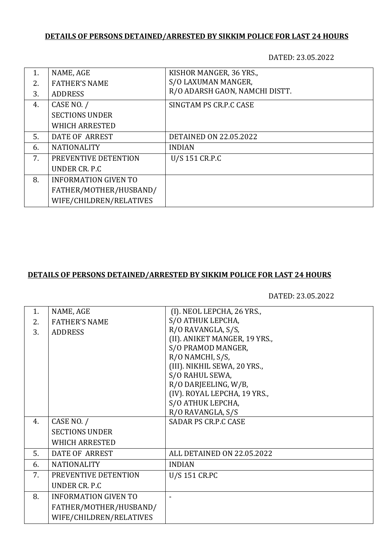# **DETAILS OF PERSONS DETAINED/ARRESTED BY SIKKIM POLICE FOR LAST 24 HOURS**

DATED: 23.05.2022

| 1. | NAME, AGE                   | KISHOR MANGER, 36 YRS.,        |
|----|-----------------------------|--------------------------------|
| 2. | <b>FATHER'S NAME</b>        | S/O LAXUMAN MANGER,            |
| 3. | <b>ADDRESS</b>              | R/O ADARSH GAON, NAMCHI DISTT. |
| 4. | CASE NO. /                  | SINGTAM PS CR.P.C CASE         |
|    | <b>SECTIONS UNDER</b>       |                                |
|    | <b>WHICH ARRESTED</b>       |                                |
| 5. | DATE OF ARREST              | <b>DETAINED ON 22.05.2022</b>  |
| 6. | <b>NATIONALITY</b>          | <b>INDIAN</b>                  |
| 7. | PREVENTIVE DETENTION        | U/S 151 CR.P.C                 |
|    | UNDER CR. P.C.              |                                |
| 8. | <b>INFORMATION GIVEN TO</b> |                                |
|    | FATHER/MOTHER/HUSBAND/      |                                |
|    | WIFE/CHILDREN/RELATIVES     |                                |

#### **DETAILS OF PERSONS DETAINED/ARRESTED BY SIKKIM POLICE FOR LAST 24 HOURS**

DATED: 23.05.2022

| 1. | NAME, AGE                   | (I). NEOL LEPCHA, 26 YRS.,    |
|----|-----------------------------|-------------------------------|
| 2. | <b>FATHER'S NAME</b>        | S/O ATHUK LEPCHA,             |
| 3. | <b>ADDRESS</b>              | R/O RAVANGLA, S/S,            |
|    |                             | (II). ANIKET MANGER, 19 YRS., |
|    |                             | S/O PRAMOD MANGER,            |
|    |                             | R/O NAMCHI, S/S,              |
|    |                             | (III). NIKHIL SEWA, 20 YRS.,  |
|    |                             | S/O RAHUL SEWA,               |
|    |                             | R/O DARJEELING, W/B,          |
|    |                             | (IV). ROYAL LEPCHA, 19 YRS.,  |
|    |                             | S/O ATHUK LEPCHA,             |
|    |                             | R/O RAVANGLA, S/S             |
| 4. | CASE NO. /                  | <b>SADAR PS CR.P.C CASE</b>   |
|    | <b>SECTIONS UNDER</b>       |                               |
|    | <b>WHICH ARRESTED</b>       |                               |
| 5. | DATE OF ARREST              | ALL DETAINED ON 22.05.2022    |
| 6. | <b>NATIONALITY</b>          | <b>INDIAN</b>                 |
| 7. | PREVENTIVE DETENTION        | U/S 151 CR.PC                 |
|    | UNDER CR. P.C               |                               |
| 8. | <b>INFORMATION GIVEN TO</b> |                               |
|    | FATHER/MOTHER/HUSBAND/      |                               |
|    | WIFE/CHILDREN/RELATIVES     |                               |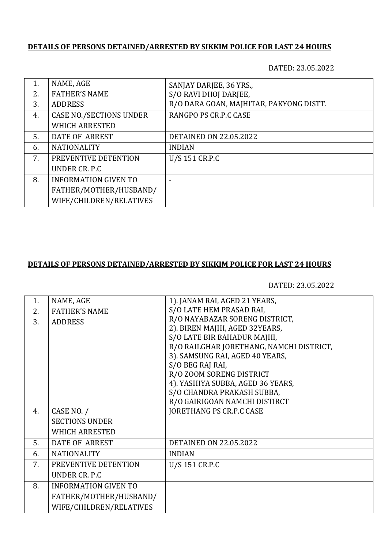# **DETAILS OF PERSONS DETAINED/ARRESTED BY SIKKIM POLICE FOR LAST 24 HOURS**

DATED: 23.05.2022

| 1. | NAME, AGE                      | SANJAY DARJEE, 36 YRS.,                 |
|----|--------------------------------|-----------------------------------------|
| 2. | <b>FATHER'S NAME</b>           | S/O RAVI DHOJ DARJEE,                   |
| 3. | <b>ADDRESS</b>                 | R/O DARA GOAN, MAJHITAR, PAKYONG DISTT. |
| 4. | <b>CASE NO./SECTIONS UNDER</b> | RANGPO PS CR.P.C CASE                   |
|    | <b>WHICH ARRESTED</b>          |                                         |
| 5. | <b>DATE OF ARREST</b>          | <b>DETAINED ON 22.05.2022</b>           |
| 6. | <b>NATIONALITY</b>             | <b>INDIAN</b>                           |
| 7. | PREVENTIVE DETENTION           | U/S 151 CR.P.C                          |
|    | UNDER CR. P.C.                 |                                         |
| 8. | <b>INFORMATION GIVEN TO</b>    |                                         |
|    | FATHER/MOTHER/HUSBAND/         |                                         |
|    | WIFE/CHILDREN/RELATIVES        |                                         |

### **DETAILS OF PERSONS DETAINED/ARRESTED BY SIKKIM POLICE FOR LAST 24 HOURS**

DATED: 23.05.2022

| 1. | NAME, AGE                   | 1). JANAM RAI, AGED 21 YEARS,            |
|----|-----------------------------|------------------------------------------|
| 2. | <b>FATHER'S NAME</b>        | S/O LATE HEM PRASAD RAI,                 |
| 3. | <b>ADDRESS</b>              | R/O NAYABAZAR SORENG DISTRICT,           |
|    |                             | 2). BIREN MAJHI, AGED 32YEARS,           |
|    |                             | S/O LATE BIR BAHADUR MAJHI,              |
|    |                             | R/O RAILGHAR JORETHANG, NAMCHI DISTRICT, |
|    |                             | 3). SAMSUNG RAI, AGED 40 YEARS,          |
|    |                             | S/O BEG RAJ RAI,                         |
|    |                             | R/O ZOOM SORENG DISTRICT                 |
|    |                             | 4). YASHIYA SUBBA, AGED 36 YEARS,        |
|    |                             | S/O CHANDRA PRAKASH SUBBA,               |
|    |                             | R/O GAIRIGOAN NAMCHI DISTIRCT            |
| 4. | CASE NO. /                  | <b>JORETHANG PS CR.P.C CASE</b>          |
|    | <b>SECTIONS UNDER</b>       |                                          |
|    | <b>WHICH ARRESTED</b>       |                                          |
| 5. | <b>DATE OF ARREST</b>       | <b>DETAINED ON 22.05.2022</b>            |
| 6. | <b>NATIONALITY</b>          | <b>INDIAN</b>                            |
| 7. | PREVENTIVE DETENTION        | U/S 151 CR.P.C                           |
|    | UNDER CR. P.C.              |                                          |
| 8. | <b>INFORMATION GIVEN TO</b> |                                          |
|    | FATHER/MOTHER/HUSBAND/      |                                          |
|    | WIFE/CHILDREN/RELATIVES     |                                          |